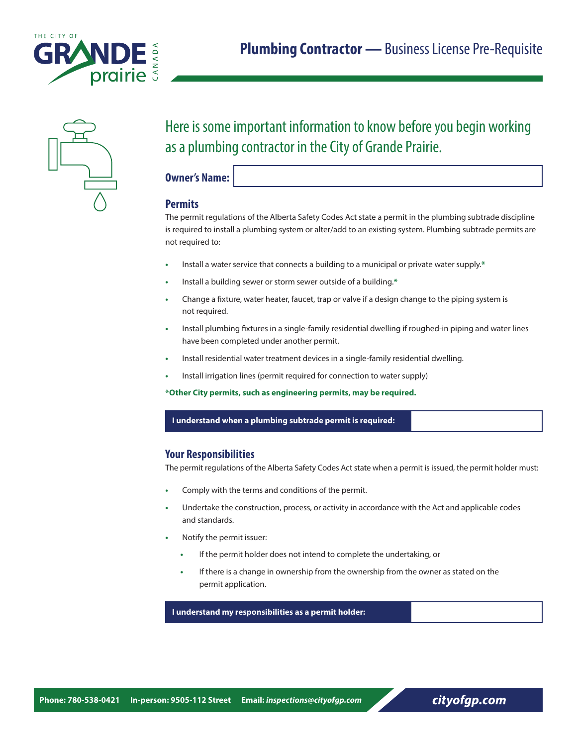



# Here is some important information to know before you begin working as a plumbing contractor in the City of Grande Prairie.

**Owner's Name:**

# **Permits**

The permit regulations of the Alberta Safety Codes Act state a permit in the plumbing subtrade discipline is required to install a plumbing system or alter/add to an existing system. Plumbing subtrade permits are not required to:

- **•** Install a water service that connects a building to a municipal or private water supply.**\***
- **•** Install a building sewer or storm sewer outside of a building.**\***
- **•** Change a fixture, water heater, faucet, trap or valve if a design change to the piping system is not required.
- **•** Install plumbing fixtures in a single-family residential dwelling if roughed-in piping and water lines have been completed under another permit.
- **•** Install residential water treatment devices in a single-family residential dwelling.
- **•** Install irrigation lines (permit required for connection to water supply)

**\*Other City permits, such as engineering permits, may be required.**

#### **I understand when a plumbing subtrade permit is required:**

# **Your Responsibilities**

The permit regulations of the Alberta Safety Codes Act state when a permit is issued, the permit holder must:

- **•** Comply with the terms and conditions of the permit.
- **•** Undertake the construction, process, or activity in accordance with the Act and applicable codes and standards.
- **•** Notify the permit issuer:
	- **•** If the permit holder does not intend to complete the undertaking, or
	- **•** If there is a change in ownership from the ownership from the owner as stated on the permit application.

 **I understand my responsibilities as a permit holder:**